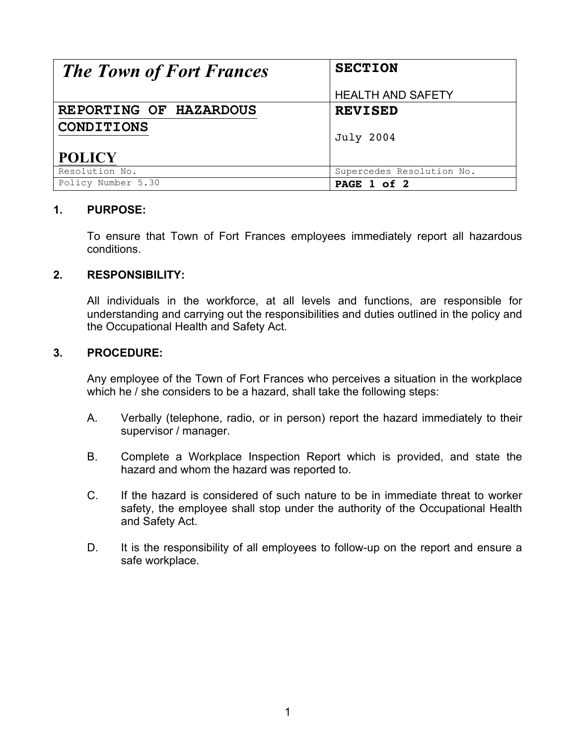| <b>The Town of Fort Frances</b> | <b>SECTION</b>            |  |
|---------------------------------|---------------------------|--|
|                                 | <b>HEALTH AND SAFETY</b>  |  |
| REPORTING OF HAZARDOUS          | <b>REVISED</b>            |  |
| <b>CONDITIONS</b>               | <b>July 2004</b>          |  |
| <b>POLICY</b>                   |                           |  |
| Resolution No.                  | Supercedes Resolution No. |  |
| Policy Number 5.30              | PAGE 1 of 2               |  |

## **1. PURPOSE:**

To ensure that Town of Fort Frances employees immediately report all hazardous conditions.

## **2. RESPONSIBILITY:**

All individuals in the workforce, at all levels and functions, are responsible for understanding and carrying out the responsibilities and duties outlined in the policy and the Occupational Health and Safety Act.

## **3. PROCEDURE:**

Any employee of the Town of Fort Frances who perceives a situation in the workplace which he / she considers to be a hazard, shall take the following steps:

- A. Verbally (telephone, radio, or in person) report the hazard immediately to their supervisor / manager.
- B. Complete a Workplace Inspection Report which is provided, and state the hazard and whom the hazard was reported to.
- C. If the hazard is considered of such nature to be in immediate threat to worker safety, the employee shall stop under the authority of the Occupational Health and Safety Act.
- D. It is the responsibility of all employees to follow-up on the report and ensure a safe workplace.